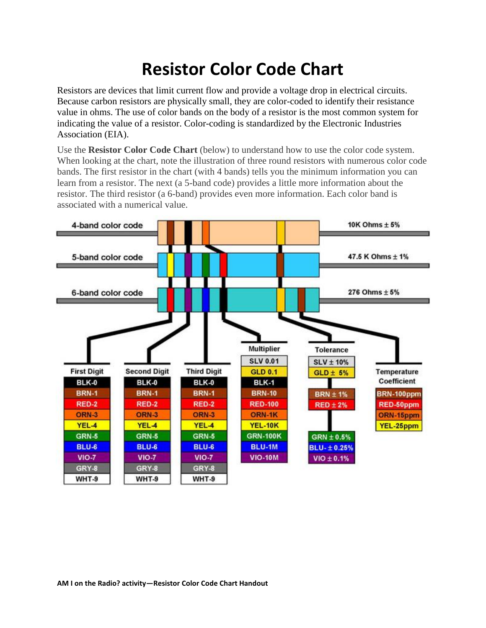## **Resistor Color Code Chart**

Resistors are devices that limit current flow and provide a voltage drop in electrical circuits. Because carbon resistors are physically small, they are color-coded to identify their resistance value in ohms. The use of color bands on the body of a resistor is the most common system for indicating the value of a resistor. Color-coding is standardized by the Electronic Industries Association (EIA).

Use the **Resistor Color Code Chart** (below) to understand how to use the color code system. When looking at the chart, note the illustration of three round resistors with numerous color code bands. The first resistor in the chart (with 4 bands) tells you the minimum information you can learn from a resistor. The next (a 5-band code) provides a little more information about the resistor. The third resistor (a 6-band) provides even more information. Each color band is associated with a numerical value.